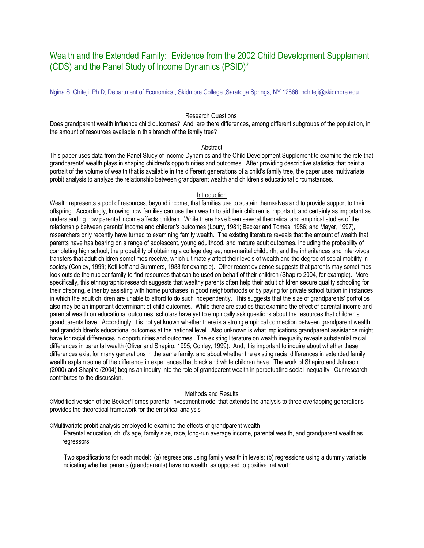**\_\_\_\_\_\_\_\_\_\_\_\_\_\_\_\_\_\_\_\_\_\_\_\_\_\_\_\_\_\_\_\_\_\_\_\_\_\_\_\_\_\_\_\_\_\_\_\_\_\_\_\_\_\_\_\_\_\_\_\_\_\_\_\_\_\_\_\_\_\_\_\_\_\_\_\_\_\_\_\_\_\_\_\_\_\_\_\_\_\_\_\_\_\_\_\_\_\_\_\_\_\_** 

Ngina S. Chiteji, Ph.D, Department of Economics , Skidmore College ,Saratoga Springs, NY 12866, nchiteji@skidmore.edu

## Research Questions

Does grandparent wealth influence child outcomes? And, are there differences, among different subgroups of the population, in the amount of resources available in this branch of the family tree?

### Abstract

This paper uses data from the Panel Study of Income Dynamics and the Child Development Supplement to examine the role that grandparents' wealth plays in shaping children's opportunities and outcomes. After providing descriptive statistics that paint a portrait of the volume of wealth that is available in the different generations of a child's family tree, the paper uses multivariate probit analysis to analyze the relationship between grandparent wealth and children's educational circumstances.

#### Introduction

Wealth represents a pool of resources, beyond income, that families use to sustain themselves and to provide support to their offspring. Accordingly, knowing how families can use their wealth to aid their children is important, and certainly as important as understanding how parental income affects children. While there have been several theoretical and empirical studies of the relationship between parents' income and children's outcomes (Loury, 1981; Becker and Tomes, 1986; and Mayer, 1997), researchers only recently have turned to examining family wealth. The existing literature reveals that the amount of wealth that parents have has bearing on a range of adolescent, young adulthood, and mature adult outcomes, including the probability of completing high school; the probability of obtaining a college degree; non-marital childbirth; and the inheritances and inter-vivos transfers that adult children sometimes receive, which ultimately affect their levels of wealth and the degree of social mobility in society (Conley, 1999; Kotlikoff and Summers, 1988 for example). Other recent evidence suggests that parents may sometimes look outside the nuclear family to find resources that can be used on behalf of their children (Shapiro 2004, for example). More specifically, this ethnographic research suggests that wealthy parents often help their adult children secure quality schooling for their offspring, either by assisting with home purchases in good neighborhoods or by paying for private school tuition in instances in which the adult children are unable to afford to do such independently. This suggests that the size of grandparents' portfolios also may be an important determinant of child outcomes. While there are studies that examine the effect of parental income and parental wealth on educational outcomes, scholars have yet to empirically ask questions about the resources that children's grandparents have. Accordingly, it is not yet known whether there is a strong empirical connection between grandparent wealth and grandchildren's educational outcomes at the national level. Also unknown is what implications grandparent assistance might have for racial differences in opportunities and outcomes. The existing literature on wealth inequality reveals substantial racial differences in parental wealth (Oliver and Shapiro, 1995; Conley, 1999). And, it is important to inquire about whether these differences exist for many generations in the same family, and about whether the existing racial differences in extended family wealth explain some of the difference in experiences that black and white children have. The work of Shapiro and Johnson (2000) and Shapiro (2004) begins an inquiry into the role of grandparent wealth in perpetuating social inequality. Our research contributes to the discussion.

#### Methods and Results

◊Modified version of the Becker/Tomes parental investment model that extends the analysis to three overlapping generations provides the theoretical framework for the empirical analysis

◊Multivariate probit analysis employed to examine the effects of grandparent wealth

·Parental education, child's age, family size, race, long-run average income, parental wealth, and grandparent wealth as regressors.

·Two specifications for each model: (a) regressions using family wealth in levels; (b) regressions using a dummy variable indicating whether parents (grandparents) have no wealth, as opposed to positive net worth.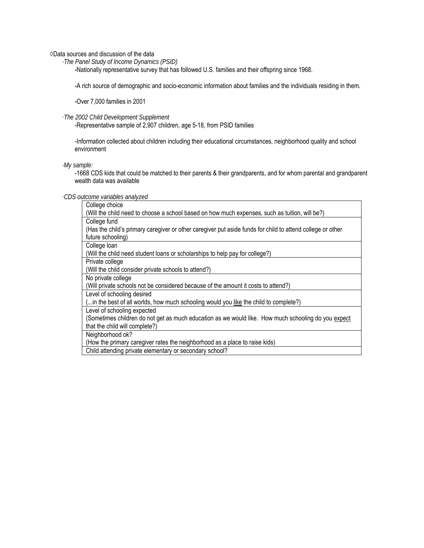◊Data sources and discussion of the data

*·The Panel Study of Income Dynamics (PSID)* 

-Nationally representative survey that has followed U.S. families and their offspring since 1968.

-A rich source of demographic and socio-economic information about families and the individuals residing in them.

-Over 7,000 families in 2001

# ·*The 2002 Child Development Supplement*

-Representative sample of 2,907 children, age 5-18, from PSID families

-Information collected about children including their educational circumstances, neighborhood quality and school environment

# *·My sample:*

-1668 CDS kids that could be matched to their parents & their grandparents, and for whom parental and grandparent wealth data was available

### ·*CDS outcome variables analyzed*

| College choice                                                                                             |
|------------------------------------------------------------------------------------------------------------|
| (Will the child need to choose a school based on how much expenses, such as tuition, will be?)             |
| College fund                                                                                               |
| (Has the child's primary caregiver or other caregiver put aside funds for child to attend college or other |
| future schooling)                                                                                          |
| College loan                                                                                               |
| (Will the child need student loans or scholarships to help pay for college?)                               |
| Private college                                                                                            |
| (Will the child consider private schools to attend?)                                                       |
| No private college                                                                                         |
| (Will private schools not be considered because of the amount it costs to attend?)                         |
| Level of schooling desired                                                                                 |
| ( in the best of all worlds, how much schooling would you like the child to complete?)                     |
| Level of schooling expected                                                                                |
| (Sometimes children do not get as much education as we would like. How much schooling do you expect        |
| that the child will complete?)                                                                             |
| Neighborhood ok?                                                                                           |
| (How the primary caregiver rates the neighborhood as a place to raise kids)                                |
| Child attending private elementary or secondary school?                                                    |
|                                                                                                            |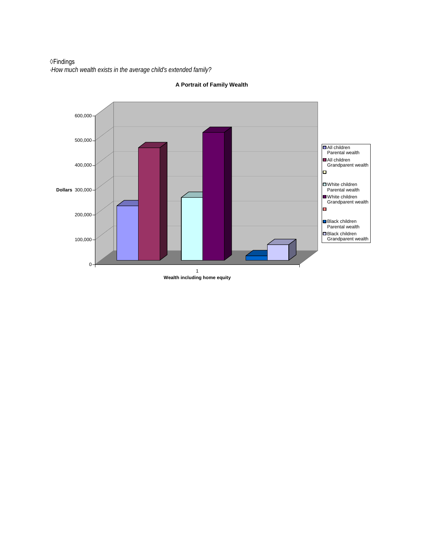◊Findings *·How much wealth exists in the average child's extended family?*



**A Portrait of Family Wealth**

**Wealth including home equity**